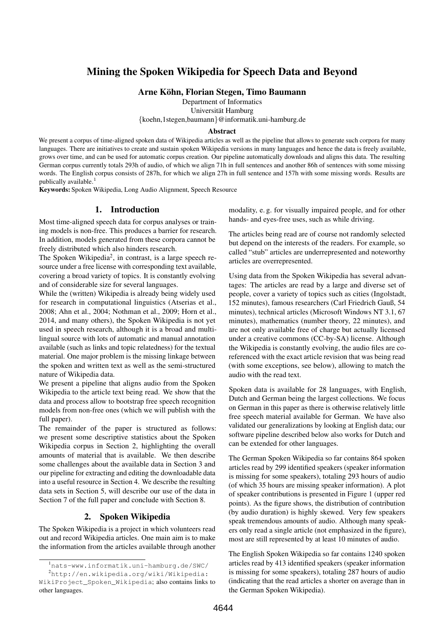# Mining the Spoken Wikipedia for Speech Data and Beyond

Arne Kohn, Florian Stegen, Timo Baumann ¨

Department of Informatics

Universität Hamburg

{koehn,1stegen,baumann}@informatik.uni-hamburg.de

#### Abstract

We present a corpus of time-aligned spoken data of Wikipedia articles as well as the pipeline that allows to generate such corpora for many languages. There are initiatives to create and sustain spoken Wikipedia versions in many languages and hence the data is freely available, grows over time, and can be used for automatic corpus creation. Our pipeline automatically downloads and aligns this data. The resulting German corpus currently totals 293h of audio, of which we align 71h in full sentences and another 86h of sentences with some missing words. The English corpus consists of 287h, for which we align 27h in full sentence and 157h with some missing words. Results are publically available.<sup>1</sup>

Keywords: Spoken Wikipedia, Long Audio Alignment, Speech Resource

### 1. Introduction

Most time-aligned speech data for corpus analyses or training models is non-free. This produces a barrier for research. In addition, models generated from these corpora cannot be freely distributed which also hinders research.

The Spoken Wikipedia<sup>[2](#page-0-0)</sup>, in contrast, is a large speech resource under a free license with corresponding text available, covering a broad variety of topics. It is constantly evolving and of considerable size for several languages.

While the (written) Wikipedia is already being widely used for research in computational linguistics [\(Atserias et al.,](#page-3-0) [2008;](#page-3-0) [Ahn et al., 2004;](#page-3-1) [Nothman et al., 2009;](#page-3-2) [Horn et al.,](#page-3-3) [2014,](#page-3-3) and many others), the Spoken Wikipedia is not yet used in speech research, although it is a broad and multilingual source with lots of automatic and manual annotation available (such as links and topic relatedness) for the textual material. One major problem is the missing linkage between the spoken and written text as well as the semi-structured nature of Wikipedia data.

We present a pipeline that aligns audio from the Spoken Wikipedia to the article text being read. We show that the data and process allow to bootstrap free speech recognition models from non-free ones (which we will publish with the full paper).

The remainder of the paper is structured as follows: we present some descriptive statistics about the Spoken Wikipedia corpus in Section [2,](#page-0-1) highlighting the overall amounts of material that is available. We then describe some challenges about the available data in Section [3](#page-0-2) and our pipeline for extracting and editing the downloadable data into a useful resource in Section [4.](#page-1-0) We describe the resulting data sets in Section [5,](#page-2-0) will describe our use of the data in Section [7](#page-3-4) of the full paper and conclude with Section [8.](#page-3-5)

# 2. Spoken Wikipedia

<span id="page-0-1"></span>The Spoken Wikipedia is a project in which volunteers read out and record Wikipedia articles. One main aim is to make the information from the articles available through another modality, e. g. for visually impaired people, and for other hands- and eyes-free uses, such as while driving.

The articles being read are of course not randomly selected but depend on the interests of the readers. For example, so called "stub" articles are underrepresented and noteworthy articles are overrepresented.

Using data from the Spoken Wikipedia has several advantages: The articles are read by a large and diverse set of people, cover a variety of topics such as cities (Ingolstadt, 152 minutes), famous researchers (Carl Friedrich Gauß, 54 minutes), technical articles (Microsoft Windows NT 3.1, 67 minutes), mathematics (number theory, 22 minutes), and are not only available free of charge but actually licensed under a creative commons (CC-by-SA) license. Although the Wikipedia is constantly evolving, the audio files are coreferenced with the exact article revision that was being read (with some exceptions, see below), allowing to match the audio with the read text.

Spoken data is available for 28 languages, with English, Dutch and German being the largest collections. We focus on German in this paper as there is otherwise relatively little free speech material available for German. We have also validated our generalizations by looking at English data; our software pipeline described below also works for Dutch and can be extended for other languages.

The German Spoken Wikipedia so far contains 864 spoken articles read by 299 identified speakers (speaker information is missing for some speakers), totaling 293 hours of audio (of which 35 hours are missing speaker information). A plot of speaker contributions is presented in Figure [1](#page-1-1) (upper red points). As the figure shows, the distribution of contribution (by audio duration) is highly skewed. Very few speakers speak tremendous amounts of audio. Although many speakers only read a single article (not emphasized in the figure), most are still represented by at least 10 minutes of audio.

<span id="page-0-2"></span>The English Spoken Wikipedia so far contains 1240 spoken articles read by 413 identified speakers (speaker information is missing for some speakers), totaling 287 hours of audio (indicating that the read articles a shorter on average than in the German Spoken Wikipedia).

<span id="page-0-0"></span><sup>1</sup>[nats-www.informatik.uni-hamburg.de/SWC/](http://nats-www.informatik.uni-hamburg.de/SWC/) <sup>2</sup>[http://en.wikipedia.org/wiki/Wikipedia:](http://en.wikipedia.org/wiki/Wikipedia:WikiProject_Spoken_Wikipedia)

[WikiProject\\_Spoken\\_Wikipedia](http://en.wikipedia.org/wiki/Wikipedia:WikiProject_Spoken_Wikipedia); also contains links to other languages.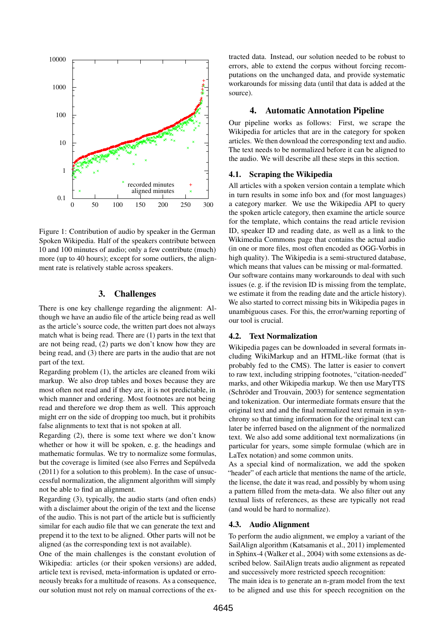<span id="page-1-1"></span>

Figure 1: Contribution of audio by speaker in the German Spoken Wikipedia. Half of the speakers contribute between 10 and 100 minutes of audio; only a few contribute (much) more (up to 40 hours); except for some outliers, the alignment rate is relatively stable across speakers.

#### 3. Challenges

There is one key challenge regarding the alignment: Although we have an audio file of the article being read as well as the article's source code, the written part does not always match what is being read. There are (1) parts in the text that are not being read, (2) parts we don't know how they are being read, and (3) there are parts in the audio that are not part of the text.

Regarding problem (1), the articles are cleaned from wiki markup. We also drop tables and boxes because they are most often not read and if they are, it is not predictable, in which manner and ordering. Most footnotes are not being read and therefore we drop them as well. This approach might err on the side of dropping too much, but it prohibits false alignments to text that is not spoken at all.

Regarding (2), there is some text where we don't know whether or how it will be spoken, e. g. the headings and mathematic formulas. We try to normalize some formulas, but the coverage is limited (see also [Ferres and Sepulveda](#page-3-6) [\(2011\)](#page-3-6) for a solution to this problem). In the case of unsuccessful normalization, the alignment algorithm will simply not be able to find an alignment.

Regarding (3), typically, the audio starts (and often ends) with a disclaimer about the origin of the text and the license of the audio. This is not part of the article but is sufficiently similar for each audio file that we can generate the text and prepend it to the text to be aligned. Other parts will not be aligned (as the corresponding text is not available).

One of the main challenges is the constant evolution of Wikipedia: articles (or their spoken versions) are added, article text is revised, meta-information is updated or erroneously breaks for a multitude of reasons. As a consequence, our solution must not rely on manual corrections of the extracted data. Instead, our solution needed to be robust to errors, able to extend the corpus without forcing recomputations on the unchanged data, and provide systematic workarounds for missing data (until that data is added at the source).

#### 4. Automatic Annotation Pipeline

<span id="page-1-0"></span>Our pipeline works as follows: First, we scrape the Wikipedia for articles that are in the category for spoken articles. We then download the corresponding text and audio. The text needs to be normalized before it can be aligned to the audio. We will describe all these steps in this section.

#### 4.1. Scraping the Wikipedia

All articles with a spoken version contain a template which in turn results in some info box and (for most languages) a category marker. We use the Wikipedia API to query the spoken article category, then examine the article source for the template, which contains the read article revision ID, speaker ID and reading date, as well as a link to the Wikimedia Commons page that contains the actual audio (in one or more files, most often encoded as OGG-Vorbis in high quality). The Wikipedia is a semi-structured database, which means that values can be missing or mal-formatted. Our software contains many workarounds to deal with such issues (e. g. if the revision ID is missing from the template, we estimate it from the reading date and the article history). We also started to correct missing bits in Wikipedia pages in unambiguous cases. For this, the error/warning reporting of our tool is crucial.

#### 4.2. Text Normalization

Wikipedia pages can be downloaded in several formats including WikiMarkup and an HTML-like format (that is probably fed to the CMS). The latter is easier to convert to raw text, including stripping footnotes, "citation-needed" marks, and other Wikipedia markup. We then use MaryTTS (Schröder and Trouvain, 2003) for sentence segmentation and tokenization. Our intermediate formats ensure that the original text and and the final normalized text remain in synchrony so that timing information for the original text can later be inferred based on the alignment of the normalized text. We also add some additional text normalizations (in particular for years, some simple formulae (which are in LaTex notation) and some common units.

As a special kind of normalization, we add the spoken "header" of each article that mentions the name of the article, the license, the date it was read, and possibly by whom using a pattern filled from the meta-data. We also filter out any textual lists of references, as these are typically not read (and would be hard to normalize).

#### 4.3. Audio Alignment

To perform the audio alignment, we employ a variant of the SailAlign algorithm [\(Katsamanis et al., 2011\)](#page-3-8) implemented in Sphinx-4 [\(Walker et al., 2004\)](#page-3-9) with some extensions as described below. SailAlign treats audio alignment as repeated and successively more restricted speech recognition:

The main idea is to generate an n-gram model from the text to be aligned and use this for speech recognition on the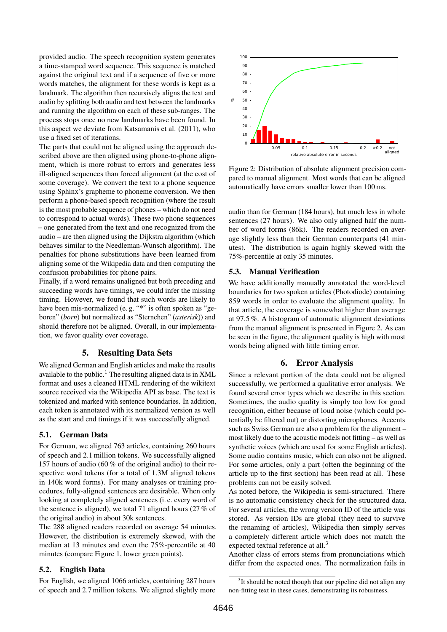provided audio. The speech recognition system generates a time-stamped word sequence. This sequence is matched against the original text and if a sequence of five or more words matches, the alignment for these words is kept as a landmark. The algorithm then recursively aligns the text and audio by splitting both audio and text between the landmarks and running the algorithm on each of these sub-ranges. The process stops once no new landmarks have been found. In this aspect we deviate from [Katsamanis et al. \(2011\)](#page-3-8), who use a fixed set of iterations.

The parts that could not be aligned using the approach described above are then aligned using phone-to-phone alignment, which is more robust to errors and generates less ill-aligned sequences than forced alignment (at the cost of some coverage). We convert the text to a phone sequence using Sphinx's grapheme to phoneme conversion. We then perform a phone-based speech recognition (where the result is the most probable sequence of phones – which do not need to correspond to actual words). These two phone sequences – one generated from the text and one recognized from the audio – are then aligned using the Dijkstra algorithm (which behaves similar to the Needleman-Wunsch algorithm). The penalties for phone substitutions have been learned from aligning some of the Wikipedia data and then computing the confusion probabilities for phone pairs.

Finally, if a word remains unaligned but both preceding and succeeding words have timings, we could infer the missing timing. However, we found that such words are likely to have been mis-normalized (e.g. "\*" is often spoken as "geboren" (*born*) but normalized as "Sternchen" (*asterisk*)) and should therefore not be aligned. Overall, in our implementation, we favor quality over coverage.

# 5. Resulting Data Sets

<span id="page-2-0"></span>We aligned German and English articles and make the results available to the public.<sup>1</sup> The resulting aligned data is in  $XML$ format and uses a cleaned HTML rendering of the wikitext source received via the Wikipedia API as base. The text is tokenized and marked with sentence boundaries. In addition, each token is annotated with its normalized version as well as the start and end timings if it was successfully aligned.

### 5.1. German Data

For German, we aligned 763 articles, containing 260 hours of speech and 2.1 million tokens. We successfully aligned 157 hours of audio (60 % of the original audio) to their respective word tokens (for a total of 1.3M aligned tokens in 140k word forms). For many analyses or training procedures, fully-aligned sentences are desirable. When only looking at completely aligned sentences (i. e. every word of the sentence is aligned), we total 71 aligned hours (27 % of the original audio) in about 30k sentences.

The 288 aligned readers recorded on average 54 minutes. However, the distribution is extremely skewed, with the median at 13 minutes and even the 75%-percentile at 40 minutes (compare Figure [1,](#page-1-1) lower green points).

### 5.2. English Data

For English, we aligned 1066 articles, containing 287 hours of speech and 2.7 million tokens. We aligned slightly more

<span id="page-2-1"></span>

Figure 2: Distribution of absolute alignment precision compared to manual alignment. Most words that can be aligned automatically have errors smaller lower than 100 ms.

audio than for German (184 hours), but much less in whole sentences (27 hours). We also only aligned half the number of word forms (86k). The readers recorded on average slightly less than their German counterparts (41 minutes). The distribution is again highly skewed with the 75%-percentile at only 35 minutes.

### 5.3. Manual Verification

We have additionally manually annotated the word-level boundaries for two spoken articles (Photodiode) containing 859 words in order to evaluate the alignment quality. In that article, the coverage is somewhat higher than average at 97.5 %. A histogram of automatic alignment deviations from the manual alignment is presented in Figure [2.](#page-2-1) As can be seen in the figure, the alignment quality is high with most words being aligned with little timing error.

### 6. Error Analysis

Since a relevant portion of the data could not be aligned successfully, we performed a qualitative error analysis. We found several error types which we describe in this section. Sometimes, the audio quality is simply too low for good recognition, either because of loud noise (which could potentially be filtered out) or distorting microphones. Accents such as Swiss German are also a problem for the alignment – most likely due to the acoustic models not fitting – as well as synthetic voices (which are used for some English articles). Some audio contains music, which can also not be aligned. For some articles, only a part (often the beginning of the article up to the first section) has been read at all. These problems can not be easily solved.

As noted before, the Wikipedia is semi-structured. There is no automatic consistency check for the structured data. For several articles, the wrong version ID of the article was stored. As version IDs are global (they need to survive the renaming of articles), Wikipedia then simply serves a completely different article which does not match the expected textual reference at all.<sup>[3](#page-2-2)</sup>

Another class of errors stems from pronunciations which differ from the expected ones. The normalization fails in

<span id="page-2-2"></span><sup>&</sup>lt;sup>3</sup>It should be noted though that our pipeline did not align any non-fitting text in these cases, demonstrating its robustness.